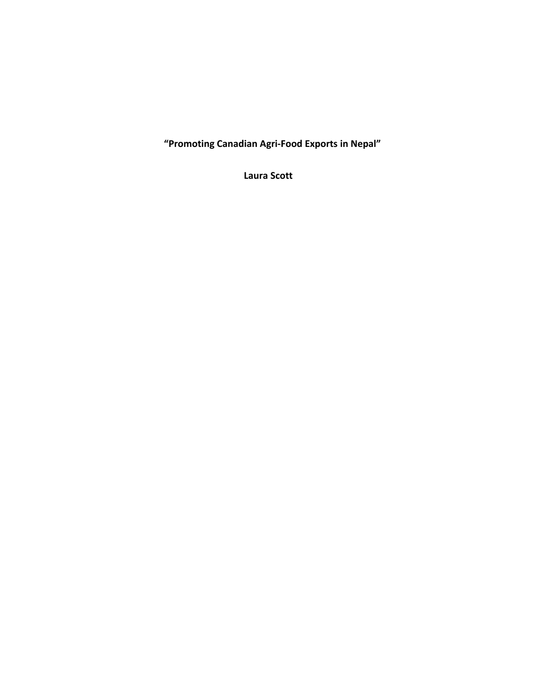**"Promoting Canadian Agri-Food Exports in Nepal"**

**Laura Scott**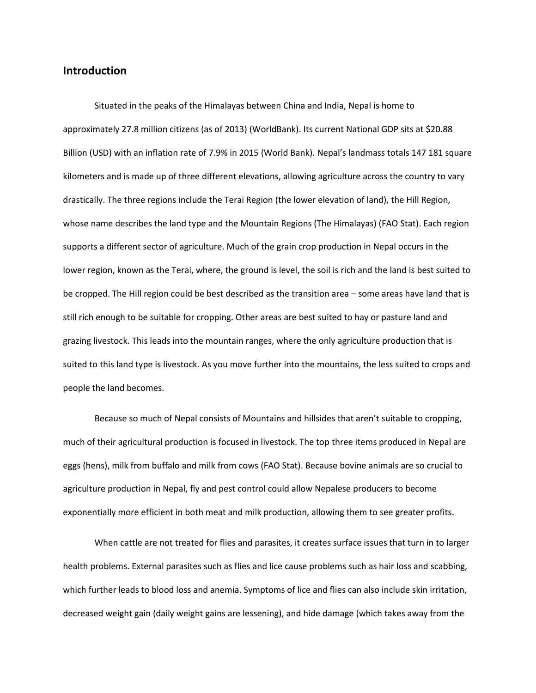# **Introduction**

Situated in the peaks of the Himalayas between China and India, Nepal is home to approximately 27.8 million citizens (as of 2013) (WorldBank). Its current National GDP sits at \$20.88 Billion (USD) with an inflation rate of 7.9% in 2015 (World Bank). Nepal's landmass totals 147 181 square kilometers and is made up of three different elevations, allowing agriculture across the country to vary drastically. The three regions include the Terai Region (the lower elevation of land), the Hill Region, whose name describes the land type and the Mountain Regions (The Himalayas) (FAO Stat). Each region supports a different sector of agriculture. Much of the grain crop production in Nepal occurs in the lower region, known as the Terai, where, the ground is level, the soil is rich and the land is best suited to be cropped. The Hill region could be best described as the transition area – some areas have land that is still rich enough to be suitable for cropping. Other areas are best suited to hay or pasture land and grazing livestock. This leads into the mountain ranges, where the only agriculture production that is suited to this land type is livestock. As you move further into the mountains, the less suited to crops and people the land becomes.

Because so much of Nepal consists of Mountains and hillsides that aren't suitable to cropping, much of their agricultural production is focused in livestock. The top three items produced in Nepal are eggs (hens), milk from buffalo and milk from cows (FAO Stat). Because bovine animals are so crucial to agriculture production in Nepal, fly and pest control could allow Nepalese producers to become exponentially more efficient in both meat and milk production, allowing them to see greater profits.

When cattle are not treated for flies and parasites, it creates surface issues that turn in to larger health problems. External parasites such as flies and lice cause problems such as hair loss and scabbing, which further leads to blood loss and anemia. Symptoms of lice and flies can also include skin irritation, decreased weight gain (daily weight gains are lessening), and hide damage (which takes away from the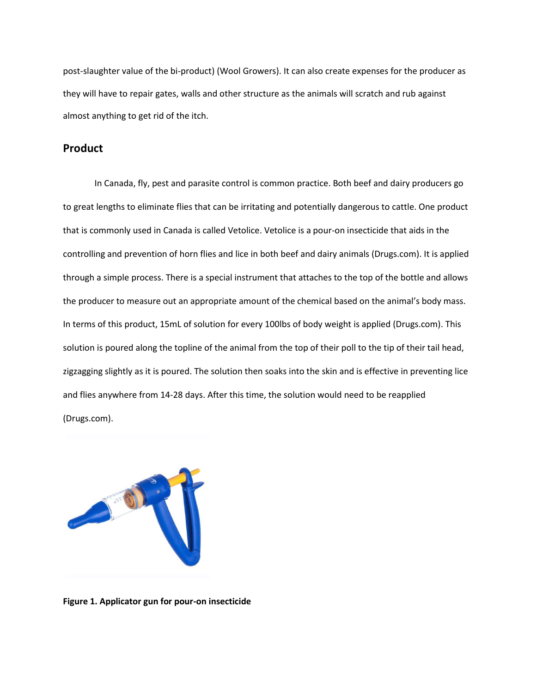post-slaughter value of the bi-product) (Wool Growers). It can also create expenses for the producer as they will have to repair gates, walls and other structure as the animals will scratch and rub against almost anything to get rid of the itch.

# **Product**

In Canada, fly, pest and parasite control is common practice. Both beef and dairy producers go to great lengths to eliminate flies that can be irritating and potentially dangerous to cattle. One product that is commonly used in Canada is called Vetolice. Vetolice is a pour-on insecticide that aids in the controlling and prevention of horn flies and lice in both beef and dairy animals (Drugs.com). It is applied through a simple process. There is a special instrument that attaches to the top of the bottle and allows the producer to measure out an appropriate amount of the chemical based on the animal's body mass. In terms of this product, 15mL of solution for every 100lbs of body weight is applied (Drugs.com). This solution is poured along the topline of the animal from the top of their poll to the tip of their tail head, zigzagging slightly as it is poured. The solution then soaks into the skin and is effective in preventing lice and flies anywhere from 14-28 days. After this time, the solution would need to be reapplied (Drugs.com).



**Figure 1. Applicator gun for pour-on insecticide**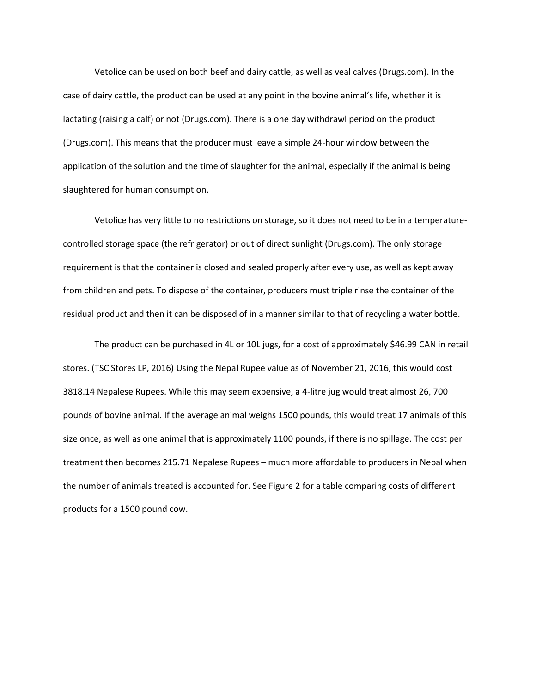Vetolice can be used on both beef and dairy cattle, as well as veal calves (Drugs.com). In the case of dairy cattle, the product can be used at any point in the bovine animal's life, whether it is lactating (raising a calf) or not (Drugs.com). There is a one day withdrawl period on the product (Drugs.com). This means that the producer must leave a simple 24-hour window between the application of the solution and the time of slaughter for the animal, especially if the animal is being slaughtered for human consumption.

Vetolice has very little to no restrictions on storage, so it does not need to be in a temperaturecontrolled storage space (the refrigerator) or out of direct sunlight (Drugs.com). The only storage requirement is that the container is closed and sealed properly after every use, as well as kept away from children and pets. To dispose of the container, producers must triple rinse the container of the residual product and then it can be disposed of in a manner similar to that of recycling a water bottle.

The product can be purchased in 4L or 10L jugs, for a cost of approximately \$46.99 CAN in retail stores. (TSC Stores LP, 2016) Using the Nepal Rupee value as of November 21, 2016, this would cost 3818.14 Nepalese Rupees. While this may seem expensive, a 4-litre jug would treat almost 26, 700 pounds of bovine animal. If the average animal weighs 1500 pounds, this would treat 17 animals of this size once, as well as one animal that is approximately 1100 pounds, if there is no spillage. The cost per treatment then becomes 215.71 Nepalese Rupees – much more affordable to producers in Nepal when the number of animals treated is accounted for. See Figure 2 for a table comparing costs of different products for a 1500 pound cow.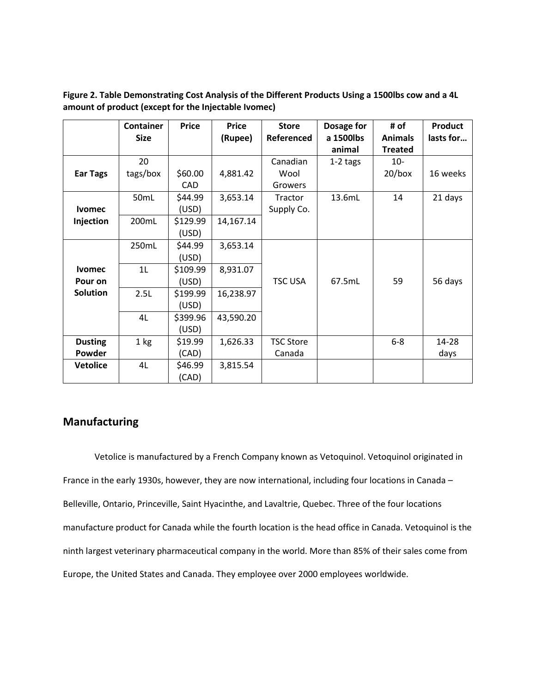|                 | <b>Container</b> | <b>Price</b> | <b>Price</b> | <b>Store</b>     | Dosage for          | # of                             | <b>Product</b> |
|-----------------|------------------|--------------|--------------|------------------|---------------------|----------------------------------|----------------|
|                 | <b>Size</b>      |              | (Rupee)      | Referenced       | a 1500lbs<br>animal | <b>Animals</b><br><b>Treated</b> | lasts for      |
|                 | 20               |              |              | Canadian         | $1-2$ tags          | $10-$                            |                |
| <b>Ear Tags</b> | tags/box         | \$60.00      | 4,881.42     | Wool             |                     | $20/b$ ox                        | 16 weeks       |
|                 |                  | CAD          |              | Growers          |                     |                                  |                |
|                 | 50mL             | \$44.99      | 3,653.14     | Tractor          | 13.6mL              | 14                               | 21 days        |
| <b>Ivomec</b>   |                  | (USD)        |              | Supply Co.       |                     |                                  |                |
| Injection       | 200mL            | \$129.99     | 14,167.14    |                  |                     |                                  |                |
|                 |                  | (USD)        |              |                  |                     |                                  |                |
|                 | 250mL            | \$44.99      | 3,653.14     |                  |                     |                                  |                |
|                 |                  | (USD)        |              |                  |                     |                                  |                |
| <b>Ivomec</b>   | 1L               | \$109.99     | 8,931.07     |                  |                     |                                  |                |
| Pour on         |                  | (USD)        |              | <b>TSC USA</b>   | 67.5mL              | 59                               | 56 days        |
| <b>Solution</b> | 2.5L             | \$199.99     | 16,238.97    |                  |                     |                                  |                |
|                 |                  | (USD)        |              |                  |                     |                                  |                |
|                 | 4L               | \$399.96     | 43,590.20    |                  |                     |                                  |                |
|                 |                  | (USD)        |              |                  |                     |                                  |                |
| <b>Dusting</b>  | 1 <sub>kg</sub>  | \$19.99      | 1,626.33     | <b>TSC Store</b> |                     | $6-8$                            | 14-28          |
| Powder          |                  | (CAD)        |              | Canada           |                     |                                  | days           |
| <b>Vetolice</b> | 4L               | \$46.99      | 3,815.54     |                  |                     |                                  |                |
|                 |                  | (CAD)        |              |                  |                     |                                  |                |

**Figure 2. Table Demonstrating Cost Analysis of the Different Products Using a 1500lbs cow and a 4L amount of product (except for the Injectable Ivomec)**

# **Manufacturing**

Vetolice is manufactured by a French Company known as Vetoquinol. Vetoquinol originated in France in the early 1930s, however, they are now international, including four locations in Canada – Belleville, Ontario, Princeville, Saint Hyacinthe, and Lavaltrie, Quebec. Three of the four locations manufacture product for Canada while the fourth location is the head office in Canada. Vetoquinol is the ninth largest veterinary pharmaceutical company in the world. More than 85% of their sales come from Europe, the United States and Canada. They employee over 2000 employees worldwide.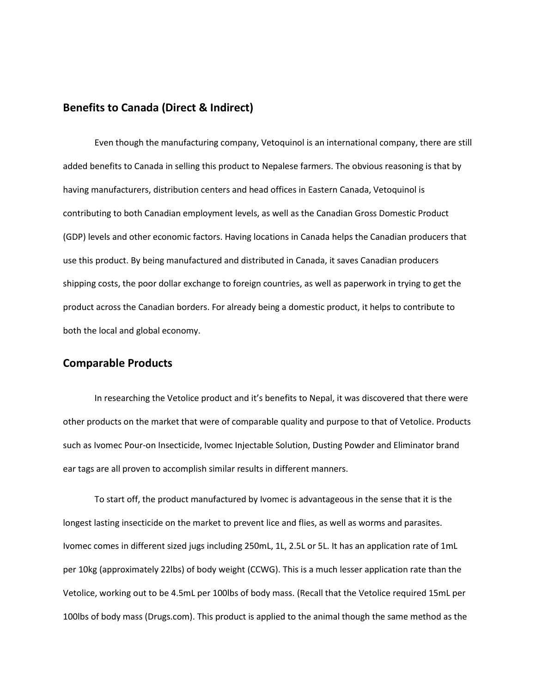# **Benefits to Canada (Direct & Indirect)**

Even though the manufacturing company, Vetoquinol is an international company, there are still added benefits to Canada in selling this product to Nepalese farmers. The obvious reasoning is that by having manufacturers, distribution centers and head offices in Eastern Canada, Vetoquinol is contributing to both Canadian employment levels, as well as the Canadian Gross Domestic Product (GDP) levels and other economic factors. Having locations in Canada helps the Canadian producers that use this product. By being manufactured and distributed in Canada, it saves Canadian producers shipping costs, the poor dollar exchange to foreign countries, as well as paperwork in trying to get the product across the Canadian borders. For already being a domestic product, it helps to contribute to both the local and global economy.

#### **Comparable Products**

In researching the Vetolice product and it's benefits to Nepal, it was discovered that there were other products on the market that were of comparable quality and purpose to that of Vetolice. Products such as Ivomec Pour-on Insecticide, Ivomec Injectable Solution, Dusting Powder and Eliminator brand ear tags are all proven to accomplish similar results in different manners.

To start off, the product manufactured by Ivomec is advantageous in the sense that it is the longest lasting insecticide on the market to prevent lice and flies, as well as worms and parasites. Ivomec comes in different sized jugs including 250mL, 1L, 2.5L or 5L. It has an application rate of 1mL per 10kg (approximately 22lbs) of body weight (CCWG). This is a much lesser application rate than the Vetolice, working out to be 4.5mL per 100lbs of body mass. (Recall that the Vetolice required 15mL per 100lbs of body mass (Drugs.com). This product is applied to the animal though the same method as the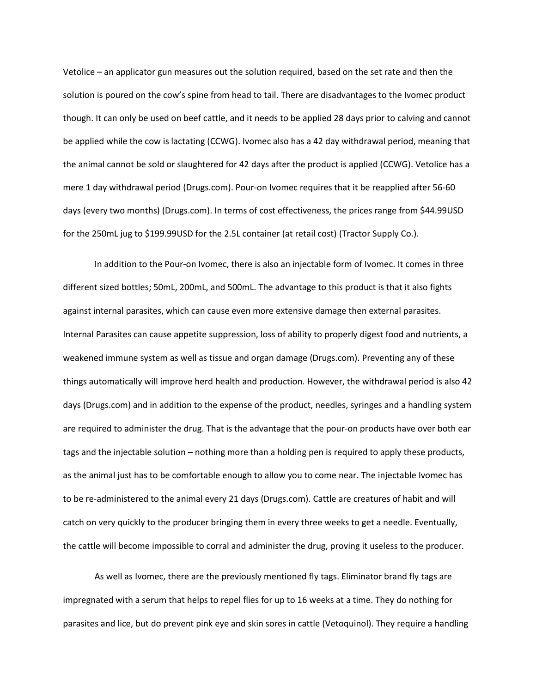Vetolice – an applicator gun measures out the solution required, based on the set rate and then the solution is poured on the cow's spine from head to tail. There are disadvantages to the Ivomec product though. It can only be used on beef cattle, and it needs to be applied 28 days prior to calving and cannot be applied while the cow is lactating (CCWG). Ivomec also has a 42 day withdrawal period, meaning that the animal cannot be sold or slaughtered for 42 days after the product is applied (CCWG). Vetolice has a mere 1 day withdrawal period (Drugs.com). Pour-on Ivomec requires that it be reapplied after 56-60 days (every two months) (Drugs.com). In terms of cost effectiveness, the prices range from \$44.99USD for the 250mL jug to \$199.99USD for the 2.5L container (at retail cost) (Tractor Supply Co.).

In addition to the Pour-on Ivomec, there is also an injectable form of Ivomec. It comes in three different sized bottles; 50mL, 200mL, and 500mL. The advantage to this product is that it also fights against internal parasites, which can cause even more extensive damage then external parasites. Internal Parasites can cause appetite suppression, loss of ability to properly digest food and nutrients, a weakened immune system as well as tissue and organ damage (Drugs.com). Preventing any of these things automatically will improve herd health and production. However, the withdrawal period is also 42 days (Drugs.com) and in addition to the expense of the product, needles, syringes and a handling system are required to administer the drug. That is the advantage that the pour-on products have over both ear tags and the injectable solution – nothing more than a holding pen is required to apply these products, as the animal just has to be comfortable enough to allow you to come near. The injectable Ivomec has to be re-administered to the animal every 21 days (Drugs.com). Cattle are creatures of habit and will catch on very quickly to the producer bringing them in every three weeks to get a needle. Eventually, the cattle will become impossible to corral and administer the drug, proving it useless to the producer.

As well as Ivomec, there are the previously mentioned fly tags. Eliminator brand fly tags are impregnated with a serum that helps to repel flies for up to 16 weeks at a time. They do nothing for parasites and lice, but do prevent pink eye and skin sores in cattle (Vetoquinol). They require a handling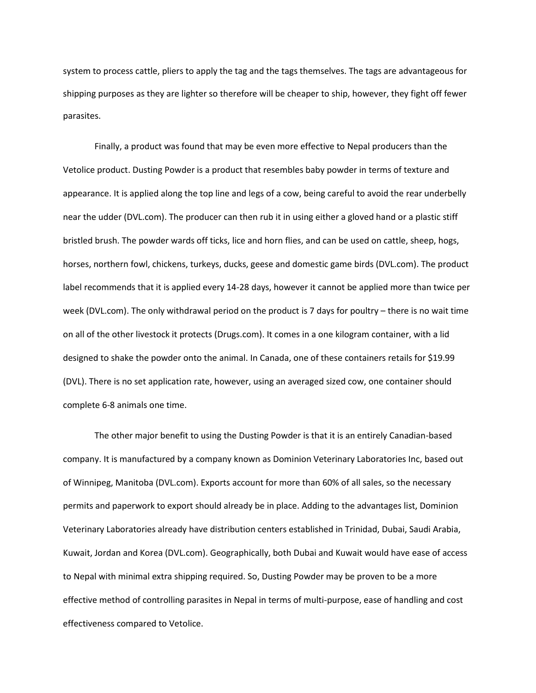system to process cattle, pliers to apply the tag and the tags themselves. The tags are advantageous for shipping purposes as they are lighter so therefore will be cheaper to ship, however, they fight off fewer parasites.

Finally, a product was found that may be even more effective to Nepal producers than the Vetolice product. Dusting Powder is a product that resembles baby powder in terms of texture and appearance. It is applied along the top line and legs of a cow, being careful to avoid the rear underbelly near the udder (DVL.com). The producer can then rub it in using either a gloved hand or a plastic stiff bristled brush. The powder wards off ticks, lice and horn flies, and can be used on cattle, sheep, hogs, horses, northern fowl, chickens, turkeys, ducks, geese and domestic game birds (DVL.com). The product label recommends that it is applied every 14-28 days, however it cannot be applied more than twice per week (DVL.com). The only withdrawal period on the product is 7 days for poultry – there is no wait time on all of the other livestock it protects (Drugs.com). It comes in a one kilogram container, with a lid designed to shake the powder onto the animal. In Canada, one of these containers retails for \$19.99 (DVL). There is no set application rate, however, using an averaged sized cow, one container should complete 6-8 animals one time.

The other major benefit to using the Dusting Powder is that it is an entirely Canadian-based company. It is manufactured by a company known as Dominion Veterinary Laboratories Inc, based out of Winnipeg, Manitoba (DVL.com). Exports account for more than 60% of all sales, so the necessary permits and paperwork to export should already be in place. Adding to the advantages list, Dominion Veterinary Laboratories already have distribution centers established in Trinidad, Dubai, Saudi Arabia, Kuwait, Jordan and Korea (DVL.com). Geographically, both Dubai and Kuwait would have ease of access to Nepal with minimal extra shipping required. So, Dusting Powder may be proven to be a more effective method of controlling parasites in Nepal in terms of multi-purpose, ease of handling and cost effectiveness compared to Vetolice.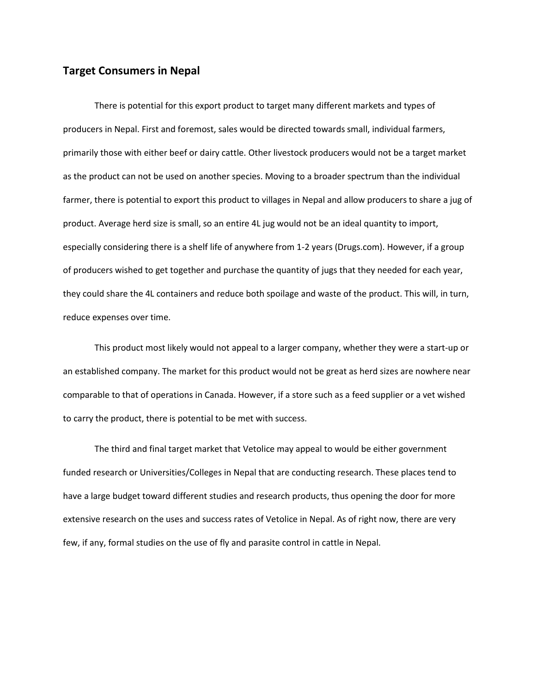# **Target Consumers in Nepal**

There is potential for this export product to target many different markets and types of producers in Nepal. First and foremost, sales would be directed towards small, individual farmers, primarily those with either beef or dairy cattle. Other livestock producers would not be a target market as the product can not be used on another species. Moving to a broader spectrum than the individual farmer, there is potential to export this product to villages in Nepal and allow producers to share a jug of product. Average herd size is small, so an entire 4L jug would not be an ideal quantity to import, especially considering there is a shelf life of anywhere from 1-2 years (Drugs.com). However, if a group of producers wished to get together and purchase the quantity of jugs that they needed for each year, they could share the 4L containers and reduce both spoilage and waste of the product. This will, in turn, reduce expenses over time.

This product most likely would not appeal to a larger company, whether they were a start-up or an established company. The market for this product would not be great as herd sizes are nowhere near comparable to that of operations in Canada. However, if a store such as a feed supplier or a vet wished to carry the product, there is potential to be met with success.

The third and final target market that Vetolice may appeal to would be either government funded research or Universities/Colleges in Nepal that are conducting research. These places tend to have a large budget toward different studies and research products, thus opening the door for more extensive research on the uses and success rates of Vetolice in Nepal. As of right now, there are very few, if any, formal studies on the use of fly and parasite control in cattle in Nepal.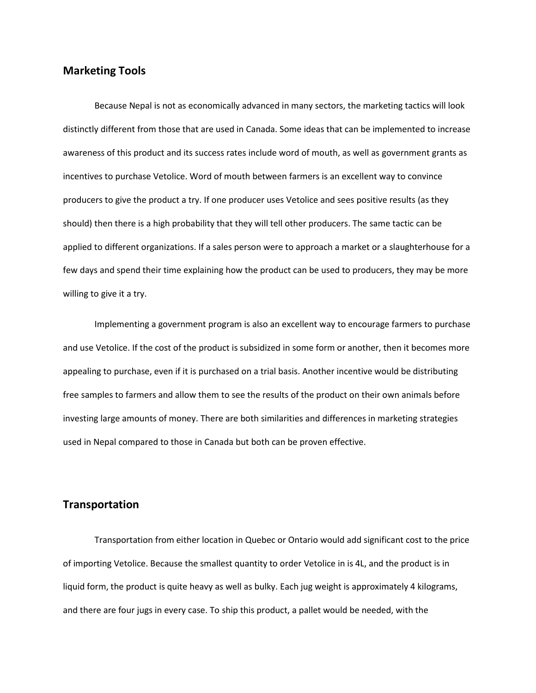# **Marketing Tools**

Because Nepal is not as economically advanced in many sectors, the marketing tactics will look distinctly different from those that are used in Canada. Some ideas that can be implemented to increase awareness of this product and its success rates include word of mouth, as well as government grants as incentives to purchase Vetolice. Word of mouth between farmers is an excellent way to convince producers to give the product a try. If one producer uses Vetolice and sees positive results (as they should) then there is a high probability that they will tell other producers. The same tactic can be applied to different organizations. If a sales person were to approach a market or a slaughterhouse for a few days and spend their time explaining how the product can be used to producers, they may be more willing to give it a try.

Implementing a government program is also an excellent way to encourage farmers to purchase and use Vetolice. If the cost of the product is subsidized in some form or another, then it becomes more appealing to purchase, even if it is purchased on a trial basis. Another incentive would be distributing free samples to farmers and allow them to see the results of the product on their own animals before investing large amounts of money. There are both similarities and differences in marketing strategies used in Nepal compared to those in Canada but both can be proven effective.

#### **Transportation**

Transportation from either location in Quebec or Ontario would add significant cost to the price of importing Vetolice. Because the smallest quantity to order Vetolice in is 4L, and the product is in liquid form, the product is quite heavy as well as bulky. Each jug weight is approximately 4 kilograms, and there are four jugs in every case. To ship this product, a pallet would be needed, with the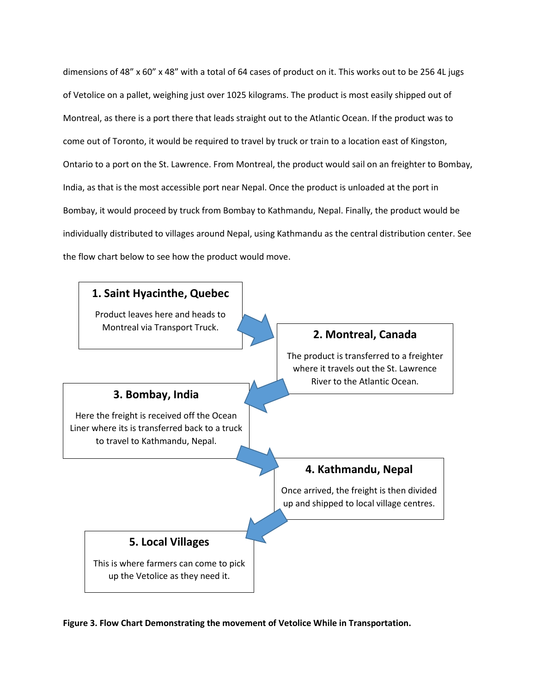dimensions of 48" x 60" x 48" with a total of 64 cases of product on it. This works out to be 256 4L jugs of Vetolice on a pallet, weighing just over 1025 kilograms. The product is most easily shipped out of Montreal, as there is a port there that leads straight out to the Atlantic Ocean. If the product was to come out of Toronto, it would be required to travel by truck or train to a location east of Kingston, Ontario to a port on the St. Lawrence. From Montreal, the product would sail on an freighter to Bombay, India, as that is the most accessible port near Nepal. Once the product is unloaded at the port in Bombay, it would proceed by truck from Bombay to Kathmandu, Nepal. Finally, the product would be individually distributed to villages around Nepal, using Kathmandu as the central distribution center. See the flow chart below to see how the product would move.



**Figure 3. Flow Chart Demonstrating the movement of Vetolice While in Transportation.**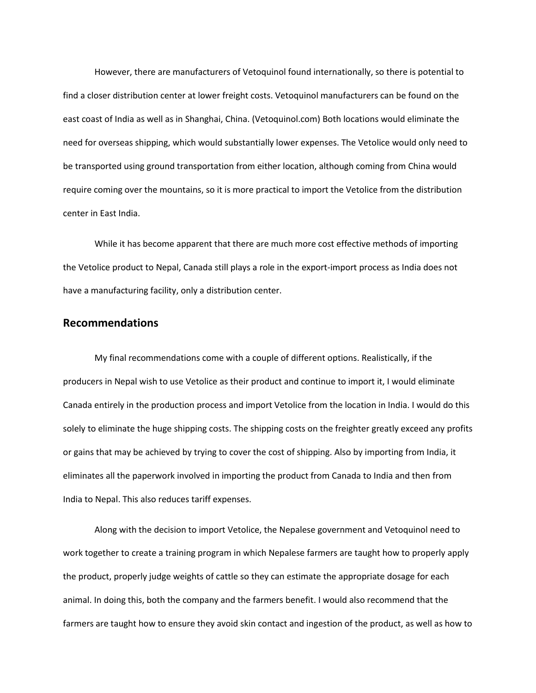However, there are manufacturers of Vetoquinol found internationally, so there is potential to find a closer distribution center at lower freight costs. Vetoquinol manufacturers can be found on the east coast of India as well as in Shanghai, China. (Vetoquinol.com) Both locations would eliminate the need for overseas shipping, which would substantially lower expenses. The Vetolice would only need to be transported using ground transportation from either location, although coming from China would require coming over the mountains, so it is more practical to import the Vetolice from the distribution center in East India.

While it has become apparent that there are much more cost effective methods of importing the Vetolice product to Nepal, Canada still plays a role in the export-import process as India does not have a manufacturing facility, only a distribution center.

#### **Recommendations**

My final recommendations come with a couple of different options. Realistically, if the producers in Nepal wish to use Vetolice as their product and continue to import it, I would eliminate Canada entirely in the production process and import Vetolice from the location in India. I would do this solely to eliminate the huge shipping costs. The shipping costs on the freighter greatly exceed any profits or gains that may be achieved by trying to cover the cost of shipping. Also by importing from India, it eliminates all the paperwork involved in importing the product from Canada to India and then from India to Nepal. This also reduces tariff expenses.

Along with the decision to import Vetolice, the Nepalese government and Vetoquinol need to work together to create a training program in which Nepalese farmers are taught how to properly apply the product, properly judge weights of cattle so they can estimate the appropriate dosage for each animal. In doing this, both the company and the farmers benefit. I would also recommend that the farmers are taught how to ensure they avoid skin contact and ingestion of the product, as well as how to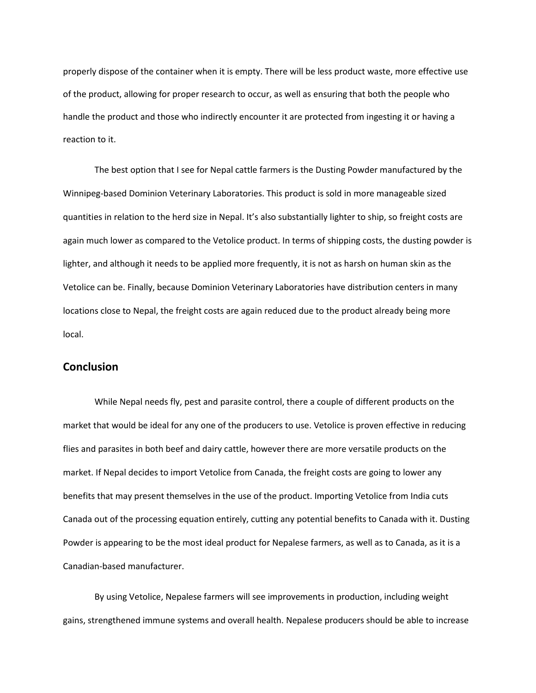properly dispose of the container when it is empty. There will be less product waste, more effective use of the product, allowing for proper research to occur, as well as ensuring that both the people who handle the product and those who indirectly encounter it are protected from ingesting it or having a reaction to it.

The best option that I see for Nepal cattle farmers is the Dusting Powder manufactured by the Winnipeg-based Dominion Veterinary Laboratories. This product is sold in more manageable sized quantities in relation to the herd size in Nepal. It's also substantially lighter to ship, so freight costs are again much lower as compared to the Vetolice product. In terms of shipping costs, the dusting powder is lighter, and although it needs to be applied more frequently, it is not as harsh on human skin as the Vetolice can be. Finally, because Dominion Veterinary Laboratories have distribution centers in many locations close to Nepal, the freight costs are again reduced due to the product already being more local.

### **Conclusion**

While Nepal needs fly, pest and parasite control, there a couple of different products on the market that would be ideal for any one of the producers to use. Vetolice is proven effective in reducing flies and parasites in both beef and dairy cattle, however there are more versatile products on the market. If Nepal decides to import Vetolice from Canada, the freight costs are going to lower any benefits that may present themselves in the use of the product. Importing Vetolice from India cuts Canada out of the processing equation entirely, cutting any potential benefits to Canada with it. Dusting Powder is appearing to be the most ideal product for Nepalese farmers, as well as to Canada, as it is a Canadian-based manufacturer.

By using Vetolice, Nepalese farmers will see improvements in production, including weight gains, strengthened immune systems and overall health. Nepalese producers should be able to increase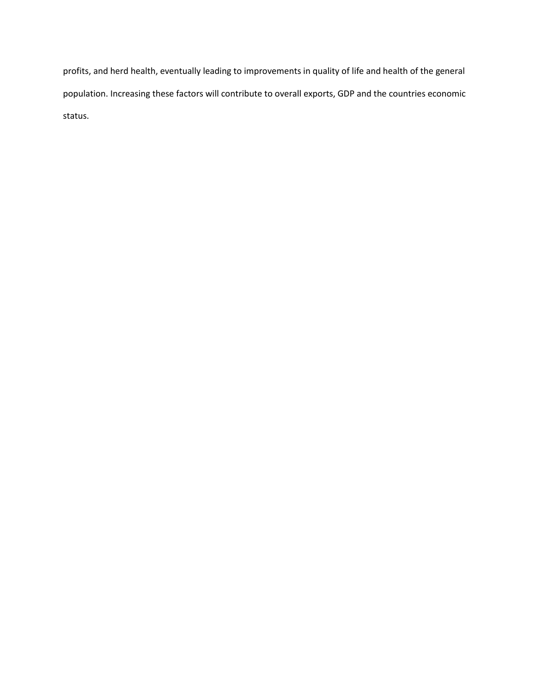profits, and herd health, eventually leading to improvements in quality of life and health of the general population. Increasing these factors will contribute to overall exports, GDP and the countries economic status.